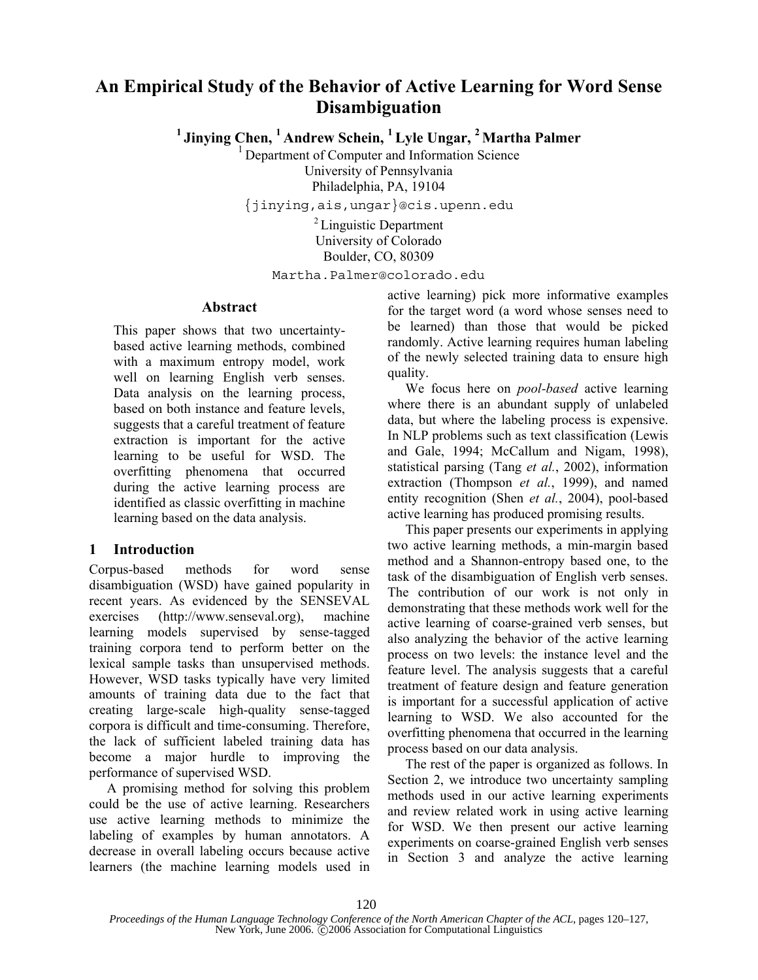# **An Empirical Study of the Behavior of Active Learning for Word Sense Disambiguation**

<sup>1</sup> Jinying Chen, <sup>1</sup> Andrew Schein, <sup>1</sup> Lyle Ungar, <sup>2</sup> Martha Palmer

1 Department of Computer and Information Science University of Pennsylvania Philadelphia, PA, 19104

{jinying,ais,ungar}@cis.upenn.edu

2 Linguistic Department University of Colorado Boulder, CO, 80309

Martha.Palmer@colorado.edu

#### **Abstract**

This paper shows that two uncertaintybased active learning methods, combined with a maximum entropy model, work well on learning English verb senses. Data analysis on the learning process, based on both instance and feature levels, suggests that a careful treatment of feature extraction is important for the active learning to be useful for WSD. The overfitting phenomena that occurred during the active learning process are identified as classic overfitting in machine learning based on the data analysis.

## **1 Introduction**

Corpus-based methods for word sense disambiguation (WSD) have gained popularity in recent years. As evidenced by the SENSEVAL exercises (http://www.senseval.org), machine learning models supervised by sense-tagged training corpora tend to perform better on the lexical sample tasks than unsupervised methods. However, WSD tasks typically have very limited amounts of training data due to the fact that creating large-scale high-quality sense-tagged corpora is difficult and time-consuming. Therefore, the lack of sufficient labeled training data has become a major hurdle to improving the performance of supervised WSD.

A promising method for solving this problem could be the use of active learning. Researchers use active learning methods to minimize the labeling of examples by human annotators. A decrease in overall labeling occurs because active learners (the machine learning models used in active learning) pick more informative examples for the target word (a word whose senses need to be learned) than those that would be picked randomly. Active learning requires human labeling of the newly selected training data to ensure high quality.

We focus here on *pool-based* active learning where there is an abundant supply of unlabeled data, but where the labeling process is expensive. In NLP problems such as text classification (Lewis and Gale, 1994; McCallum and Nigam, 1998), statistical parsing (Tang *et al.*, 2002), information extraction (Thompson *et al.*, 1999), and named entity recognition (Shen *et al.*, 2004), pool-based active learning has produced promising results.

This paper presents our experiments in applying two active learning methods, a min-margin based method and a Shannon-entropy based one, to the task of the disambiguation of English verb senses. The contribution of our work is not only in demonstrating that these methods work well for the active learning of coarse-grained verb senses, but also analyzing the behavior of the active learning process on two levels: the instance level and the feature level. The analysis suggests that a careful treatment of feature design and feature generation is important for a successful application of active learning to WSD. We also accounted for the overfitting phenomena that occurred in the learning process based on our data analysis.

The rest of the paper is organized as follows. In Section 2, we introduce two uncertainty sampling methods used in our active learning experiments and review related work in using active learning for WSD. We then present our active learning experiments on coarse-grained English verb senses in Section 3 and analyze the active learning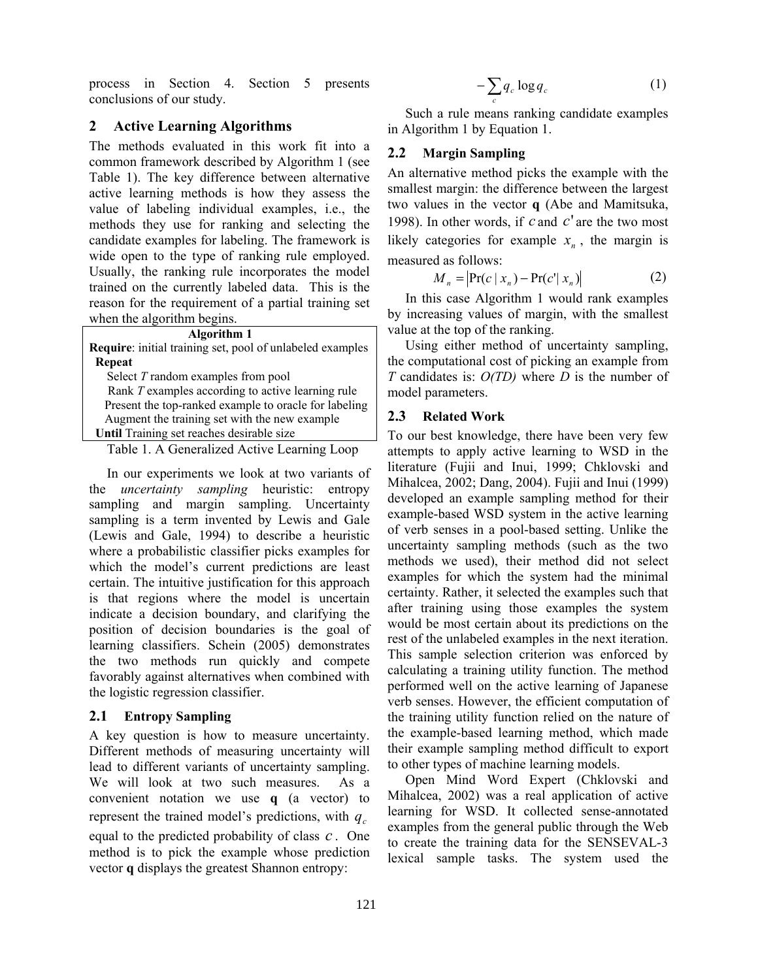process in Section 4. Section 5 presents conclusions of our study.

# **2 Active Learning Algorithms**

The methods evaluated in this work fit into a common framework described by Algorithm 1 (see Table 1). The key difference between alternative active learning methods is how they assess the value of labeling individual examples, i.e., the methods they use for ranking and selecting the candidate examples for labeling. The framework is wide open to the type of ranking rule employed. Usually, the ranking rule incorporates the model trained on the currently labeled data. This is the reason for the requirement of a partial training set when the algorithm begins.

#### **Algorithm 1**

| <b>Require:</b> initial training set, pool of unlabeled examples |
|------------------------------------------------------------------|
| Repeat                                                           |
| Select T random examples from pool                               |
| Rank T examples according to active learning rule                |
| Present the top-ranked example to oracle for labeling            |
| Augment the training set with the new example                    |
| Until Training set reaches desirable size                        |

Table 1. A Generalized Active Learning Loop

In our experiments we look at two variants of the *uncertainty sampling* heuristic: entropy sampling and margin sampling. Uncertainty sampling is a term invented by Lewis and Gale (Lewis and Gale, 1994) to describe a heuristic where a probabilistic classifier picks examples for which the model's current predictions are least certain. The intuitive justification for this approach is that regions where the model is uncertain indicate a decision boundary, and clarifying the position of decision boundaries is the goal of learning classifiers. Schein (2005) demonstrates the two methods run quickly and compete favorably against alternatives when combined with the logistic regression classifier.

## **2.1 Entropy Sampling**

A key question is how to measure uncertainty. Different methods of measuring uncertainty will lead to different variants of uncertainty sampling. We will look at two such measures. As a convenient notation we use **q** (a vector) to represent the trained model's predictions, with  $q_c$ equal to the predicted probability of class *c* . One method is to pick the example whose prediction vector **q** displays the greatest Shannon entropy:

$$
-\sum_{c} q_c \log q_c \tag{1}
$$

Such a rule means ranking candidate examples in Algorithm 1 by Equation 1.

# **2.2 Margin Sampling**

An alternative method picks the example with the smallest margin: the difference between the largest two values in the vector **q** (Abe and Mamitsuka, 1998). In other words, if *c* and *c*' are the two most likely categories for example  $x_n$ , the margin is measured as follows:

$$
M_n = |\Pr(c \mid x_n) - \Pr(c' \mid x_n)|
$$
 (2)

In this case Algorithm 1 would rank examples by increasing values of margin, with the smallest value at the top of the ranking.

Using either method of uncertainty sampling, the computational cost of picking an example from *T* candidates is: *O(TD)* where *D* is the number of model parameters.

## **2.3 Related Work**

To our best knowledge, there have been very few attempts to apply active learning to WSD in the literature (Fujii and Inui, 1999; Chklovski and Mihalcea, 2002; Dang, 2004). Fujii and Inui (1999) developed an example sampling method for their example-based WSD system in the active learning of verb senses in a pool-based setting. Unlike the uncertainty sampling methods (such as the two methods we used), their method did not select examples for which the system had the minimal certainty. Rather, it selected the examples such that after training using those examples the system would be most certain about its predictions on the rest of the unlabeled examples in the next iteration. This sample selection criterion was enforced by calculating a training utility function. The method performed well on the active learning of Japanese verb senses. However, the efficient computation of the training utility function relied on the nature of the example-based learning method, which made their example sampling method difficult to export to other types of machine learning models.

Open Mind Word Expert (Chklovski and Mihalcea, 2002) was a real application of active learning for WSD. It collected sense-annotated examples from the general public through the Web to create the training data for the SENSEVAL-3 lexical sample tasks. The system used the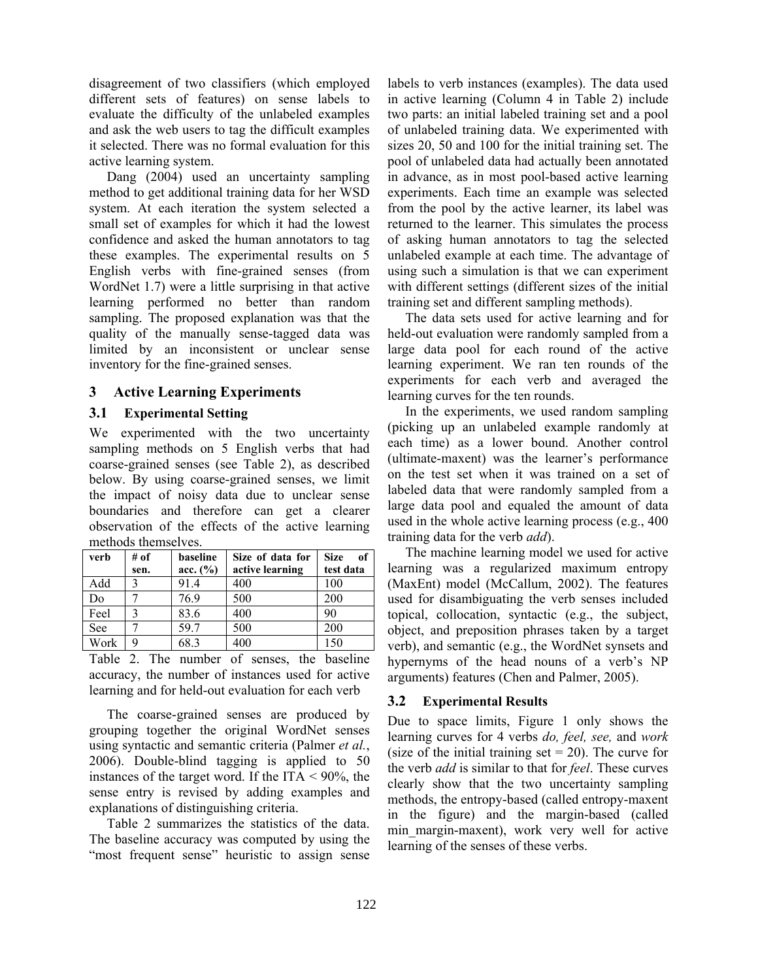disagreement of two classifiers (which employed different sets of features) on sense labels to evaluate the difficulty of the unlabeled examples and ask the web users to tag the difficult examples it selected. There was no formal evaluation for this active learning system.

Dang (2004) used an uncertainty sampling method to get additional training data for her WSD system. At each iteration the system selected a small set of examples for which it had the lowest confidence and asked the human annotators to tag these examples. The experimental results on 5 English verbs with fine-grained senses (from WordNet 1.7) were a little surprising in that active learning performed no better than random sampling. The proposed explanation was that the quality of the manually sense-tagged data was limited by an inconsistent or unclear sense inventory for the fine-grained senses.

## **3 Active Learning Experiments**

## **3.1 Experimental Setting**

We experimented with the two uncertainty sampling methods on 5 English verbs that had coarse-grained senses (see Table 2), as described below. By using coarse-grained senses, we limit the impact of noisy data due to unclear sense boundaries and therefore can get a clearer observation of the effects of the active learning methods themselves.

| verb | # of | baseline | Size of data for | <b>Size</b><br>of |
|------|------|----------|------------------|-------------------|
|      | sen. | acc. (%) | active learning  | test data         |
| Add  |      | 91.4     | 400              | 100               |
| Do   |      | 76.9     | 500              | 200               |
| Feel | ζ    | 83.6     | 400              | 90                |
| See  |      | 59.7     | 500              | 200               |
| Work |      | 683      | 400              | 150               |

Table 2. The number of senses, the baseline accuracy, the number of instances used for active learning and for held-out evaluation for each verb

The coarse-grained senses are produced by grouping together the original WordNet senses using syntactic and semantic criteria (Palmer *et al.*, 2006). Double-blind tagging is applied to 50 instances of the target word. If the ITA  $\leq$  90%, the sense entry is revised by adding examples and explanations of distinguishing criteria.

Table 2 summarizes the statistics of the data. The baseline accuracy was computed by using the "most frequent sense" heuristic to assign sense labels to verb instances (examples). The data used in active learning (Column 4 in Table 2) include two parts: an initial labeled training set and a pool of unlabeled training data. We experimented with sizes 20, 50 and 100 for the initial training set. The pool of unlabeled data had actually been annotated in advance, as in most pool-based active learning experiments. Each time an example was selected from the pool by the active learner, its label was returned to the learner. This simulates the process of asking human annotators to tag the selected unlabeled example at each time. The advantage of using such a simulation is that we can experiment with different settings (different sizes of the initial training set and different sampling methods).

The data sets used for active learning and for held-out evaluation were randomly sampled from a large data pool for each round of the active learning experiment. We ran ten rounds of the experiments for each verb and averaged the learning curves for the ten rounds.

In the experiments, we used random sampling (picking up an unlabeled example randomly at each time) as a lower bound. Another control (ultimate-maxent) was the learner's performance on the test set when it was trained on a set of labeled data that were randomly sampled from a large data pool and equaled the amount of data used in the whole active learning process (e.g., 400 training data for the verb *add*).

The machine learning model we used for active learning was a regularized maximum entropy (MaxEnt) model (McCallum, 2002). The features used for disambiguating the verb senses included topical, collocation, syntactic (e.g., the subject, object, and preposition phrases taken by a target verb), and semantic (e.g., the WordNet synsets and hypernyms of the head nouns of a verb's NP arguments) features (Chen and Palmer, 2005).

# **3.2 Experimental Results**

Due to space limits, Figure 1 only shows the learning curves for 4 verbs *do, feel, see,* and *work*  (size of the initial training set  $= 20$ ). The curve for the verb *add* is similar to that for *feel*. These curves clearly show that the two uncertainty sampling methods, the entropy-based (called entropy-maxent in the figure) and the margin-based (called min margin-maxent), work very well for active learning of the senses of these verbs.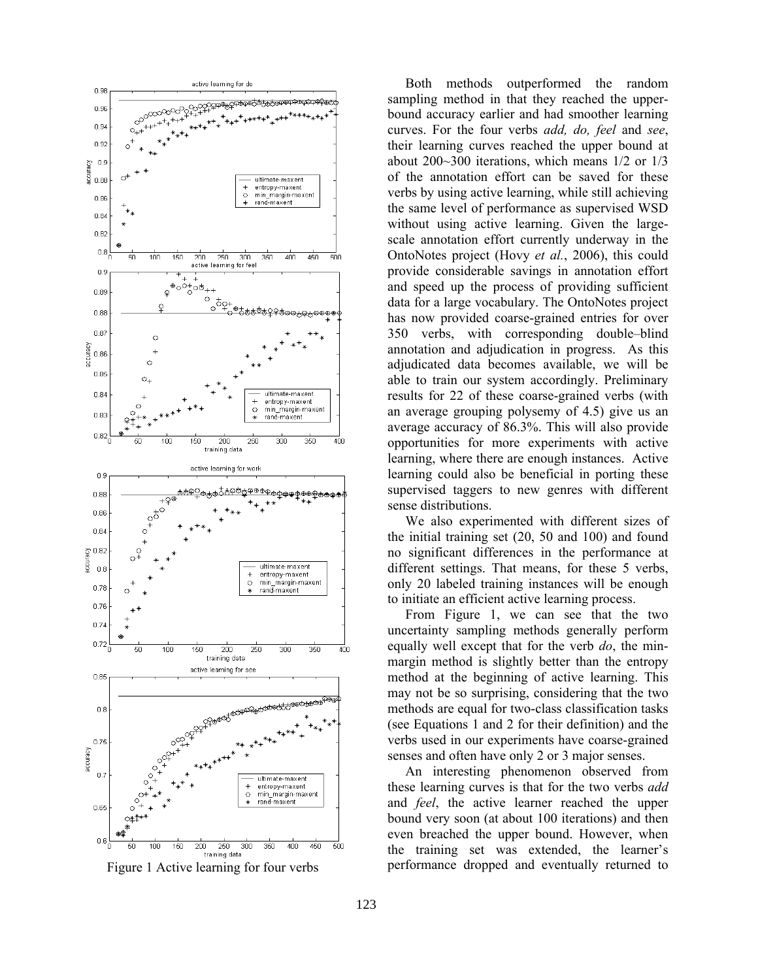

Figure 1 Active learning for four verbs

Both methods outperformed the random sampling method in that they reached the upperbound accuracy earlier and had smoother learning curves. For the four verbs *add, do, feel* and *see*, their learning curves reached the upper bound at about 200~300 iterations, which means 1/2 or 1/3 of the annotation effort can be saved for these verbs by using active learning, while still achieving the same level of performance as supervised WSD without using active learning. Given the largescale annotation effort currently underway in the OntoNotes project (Hovy *et al.*, 2006), this could provide considerable savings in annotation effort and speed up the process of providing sufficient data for a large vocabulary. The OntoNotes project has now provided coarse-grained entries for over 350 verbs, with corresponding double–blind annotation and adjudication in progress. As this adjudicated data becomes available, we will be able to train our system accordingly. Preliminary results for 22 of these coarse-grained verbs (with an average grouping polysemy of 4.5) give us an average accuracy of 86.3%. This will also provide opportunities for more experiments with active learning, where there are enough instances. Active learning could also be beneficial in porting these supervised taggers to new genres with different sense distributions.

We also experimented with different sizes of the initial training set (20, 50 and 100) and found no significant differences in the performance at different settings. That means, for these 5 verbs, only 20 labeled training instances will be enough to initiate an efficient active learning process.

From Figure 1, we can see that the two uncertainty sampling methods generally perform equally well except that for the verb *do*, the minmargin method is slightly better than the entropy method at the beginning of active learning. This may not be so surprising, considering that the two methods are equal for two-class classification tasks (see Equations 1 and 2 for their definition) and the verbs used in our experiments have coarse-grained senses and often have only 2 or 3 major senses.

An interesting phenomenon observed from these learning curves is that for the two verbs *add* and *feel*, the active learner reached the upper bound very soon (at about 100 iterations) and then even breached the upper bound. However, when the training set was extended, the learner's performance dropped and eventually returned to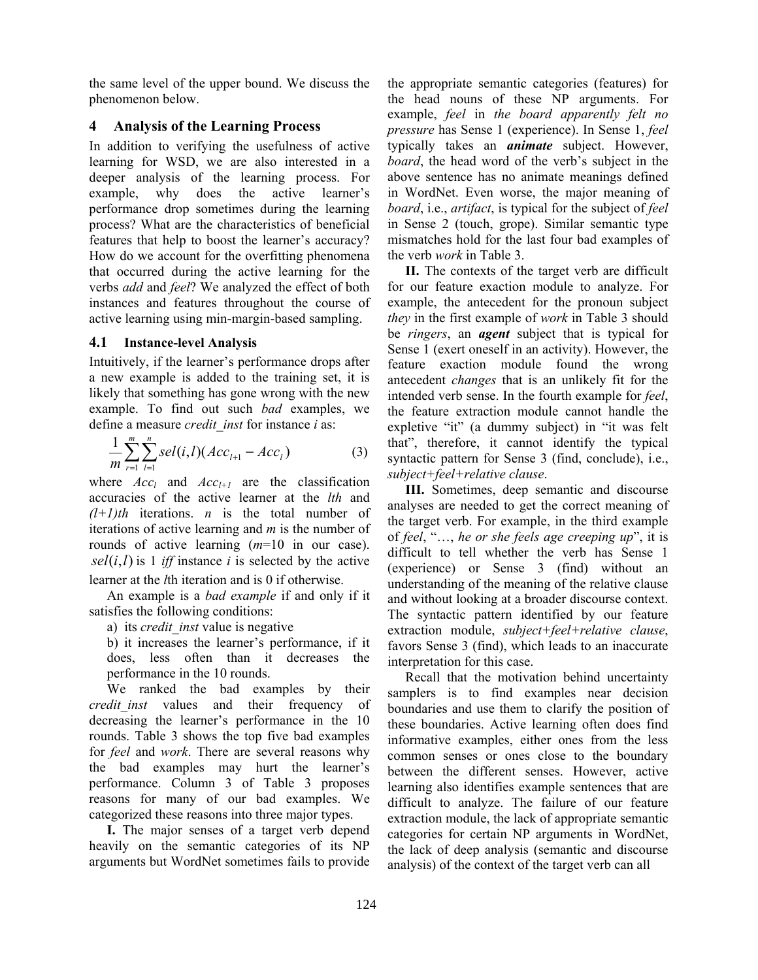the same level of the upper bound. We discuss the phenomenon below.

# **4 Analysis of the Learning Process**

In addition to verifying the usefulness of active learning for WSD, we are also interested in a deeper analysis of the learning process. For example, why does the active learner's performance drop sometimes during the learning process? What are the characteristics of beneficial features that help to boost the learner's accuracy? How do we account for the overfitting phenomena that occurred during the active learning for the verbs *add* and *feel*? We analyzed the effect of both instances and features throughout the course of active learning using min-margin-based sampling.

## **4.1 Instance-level Analysis**

Intuitively, if the learner's performance drops after a new example is added to the training set, it is likely that something has gone wrong with the new example. To find out such *bad* examples, we define a measure *credit\_inst* for instance *i* as:

$$
\frac{1}{m}\sum_{r=1}^{m}\sum_{l=1}^{n}sel(i,l)(Acc_{l+1}-Acc_{l})
$$
\n(3)

where  $Acc_l$  and  $Acc_{l+1}$  are the classification accuracies of the active learner at the *lth* and *(l+1)th* iterations. *n* is the total number of iterations of active learning and *m* is the number of rounds of active learning (*m*=10 in our case).  $self(i, l)$  is 1 *iff* instance *i* is selected by the active learner at the *l*th iteration and is 0 if otherwise.

An example is a *bad example* if and only if it satisfies the following conditions:

a) its *credit\_inst* value is negative

b) it increases the learner's performance, if it does, less often than it decreases the performance in the 10 rounds.

We ranked the bad examples by their *credit\_inst* values and their frequency of decreasing the learner's performance in the 10 rounds. Table 3 shows the top five bad examples for *feel* and *work*. There are several reasons why the bad examples may hurt the learner's performance. Column 3 of Table 3 proposes reasons for many of our bad examples. We categorized these reasons into three major types.

**I.** The major senses of a target verb depend heavily on the semantic categories of its NP arguments but WordNet sometimes fails to provide the appropriate semantic categories (features) for the head nouns of these NP arguments. For example, *feel* in *the board apparently felt no pressure* has Sense 1 (experience). In Sense 1, *feel* typically takes an *animate* subject. However, *board*, the head word of the verb's subject in the above sentence has no animate meanings defined in WordNet. Even worse, the major meaning of *board*, i.e., *artifact*, is typical for the subject of *feel* in Sense 2 (touch, grope). Similar semantic type mismatches hold for the last four bad examples of the verb *work* in Table 3.

**II.** The contexts of the target verb are difficult for our feature exaction module to analyze. For example, the antecedent for the pronoun subject *they* in the first example of *work* in Table 3 should be *ringers*, an *agent* subject that is typical for Sense 1 (exert oneself in an activity). However, the feature exaction module found the wrong antecedent *changes* that is an unlikely fit for the intended verb sense. In the fourth example for *feel*, the feature extraction module cannot handle the expletive "it" (a dummy subject) in "it was felt that", therefore, it cannot identify the typical syntactic pattern for Sense 3 (find, conclude), i.e., *subject+feel+relative clause*.

**III.** Sometimes, deep semantic and discourse analyses are needed to get the correct meaning of the target verb. For example, in the third example of *feel*, "…, *he or she feels age creeping up*", it is difficult to tell whether the verb has Sense 1 (experience) or Sense 3 (find) without an understanding of the meaning of the relative clause and without looking at a broader discourse context. The syntactic pattern identified by our feature extraction module, *subject+feel+relative clause*, favors Sense 3 (find), which leads to an inaccurate interpretation for this case.

Recall that the motivation behind uncertainty samplers is to find examples near decision boundaries and use them to clarify the position of these boundaries. Active learning often does find informative examples, either ones from the less common senses or ones close to the boundary between the different senses. However, active learning also identifies example sentences that are difficult to analyze. The failure of our feature extraction module, the lack of appropriate semantic categories for certain NP arguments in WordNet, the lack of deep analysis (semantic and discourse analysis) of the context of the target verb can all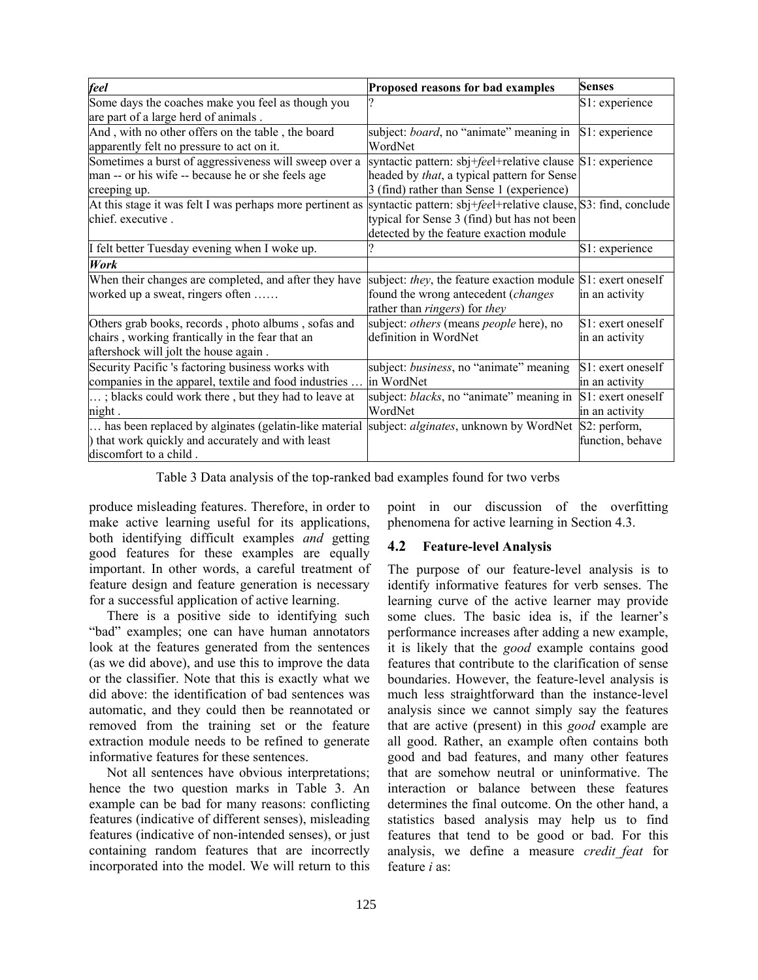| feel                                                                           | Proposed reasons for bad examples                                                                              | <b>Senses</b>     |
|--------------------------------------------------------------------------------|----------------------------------------------------------------------------------------------------------------|-------------------|
| Some days the coaches make you feel as though you                              |                                                                                                                | S1: experience    |
| are part of a large herd of animals.                                           |                                                                                                                |                   |
| And, with no other offers on the table, the board                              | subject: <i>board</i> , no "animate" meaning in S1: experience                                                 |                   |
| apparently felt no pressure to act on it.                                      | WordNet                                                                                                        |                   |
| Sometimes a burst of aggressiveness will sweep over a                          | syntactic pattern: sbj+ <i>fee</i> l+relative clause S1: experience                                            |                   |
| man -- or his wife -- because he or she feels age                              | headed by <i>that</i> , a typical pattern for Sense                                                            |                   |
| creeping up.                                                                   | 3 (find) rather than Sense 1 (experience)                                                                      |                   |
| At this stage it was felt I was perhaps more pertinent as<br>chief. executive. | syntactic pattern: sbj+feel+relative clause, S3: find, conclude<br>typical for Sense 3 (find) but has not been |                   |
|                                                                                | detected by the feature exaction module                                                                        |                   |
| I felt better Tuesday evening when I woke up.                                  |                                                                                                                | S1: experience    |
| <b>Work</b>                                                                    |                                                                                                                |                   |
| When their changes are completed, and after they have                          | subject: they, the feature exaction module S1: exert oneself                                                   |                   |
| worked up a sweat, ringers often                                               | found the wrong antecedent (changes                                                                            | in an activity    |
|                                                                                | rather than <i>ringers</i> ) for <i>they</i>                                                                   |                   |
| Others grab books, records, photo albums, sofas and                            | subject: <i>others</i> (means <i>people</i> here), no                                                          | S1: exert oneself |
| chairs, working frantically in the fear that an                                | definition in WordNet                                                                                          | in an activity    |
| aftershock will jolt the house again.                                          |                                                                                                                |                   |
| Security Pacific 's factoring business works with                              | subject: business, no "animate" meaning                                                                        | S1: exert oneself |
| companies in the apparel, textile and food industries                          | lin WordNet                                                                                                    | in an activity    |
| ; blacks could work there, but they had to leave at                            | subject: blacks, no "animate" meaning in                                                                       | S1: exert oneself |
| night.                                                                         | WordNet                                                                                                        | in an activity    |
| has been replaced by alginates (gelatin-like material                          | subject: alginates, unknown by WordNet                                                                         | S2: perform,      |
| ) that work quickly and accurately and with least                              |                                                                                                                | function, behave  |
| discomfort to a child.                                                         |                                                                                                                |                   |

Table 3 Data analysis of the top-ranked bad examples found for two verbs

produce misleading features. Therefore, in order to make active learning useful for its applications, both identifying difficult examples *and* getting good features for these examples are equally important. In other words, a careful treatment of feature design and feature generation is necessary for a successful application of active learning.

There is a positive side to identifying such "bad" examples; one can have human annotators look at the features generated from the sentences (as we did above), and use this to improve the data or the classifier. Note that this is exactly what we did above: the identification of bad sentences was automatic, and they could then be reannotated or removed from the training set or the feature extraction module needs to be refined to generate informative features for these sentences.

Not all sentences have obvious interpretations; hence the two question marks in Table 3. An example can be bad for many reasons: conflicting features (indicative of different senses), misleading features (indicative of non-intended senses), or just containing random features that are incorrectly incorporated into the model. We will return to this

point in our discussion of the overfitting phenomena for active learning in Section 4.3.

# **4.2 Feature-level Analysis**

The purpose of our feature-level analysis is to identify informative features for verb senses. The learning curve of the active learner may provide some clues. The basic idea is, if the learner's performance increases after adding a new example, it is likely that the *good* example contains good features that contribute to the clarification of sense boundaries. However, the feature-level analysis is much less straightforward than the instance-level analysis since we cannot simply say the features that are active (present) in this *good* example are all good. Rather, an example often contains both good and bad features, and many other features that are somehow neutral or uninformative. The interaction or balance between these features determines the final outcome. On the other hand, a statistics based analysis may help us to find features that tend to be good or bad. For this analysis, we define a measure *credit\_feat* for feature *i* as: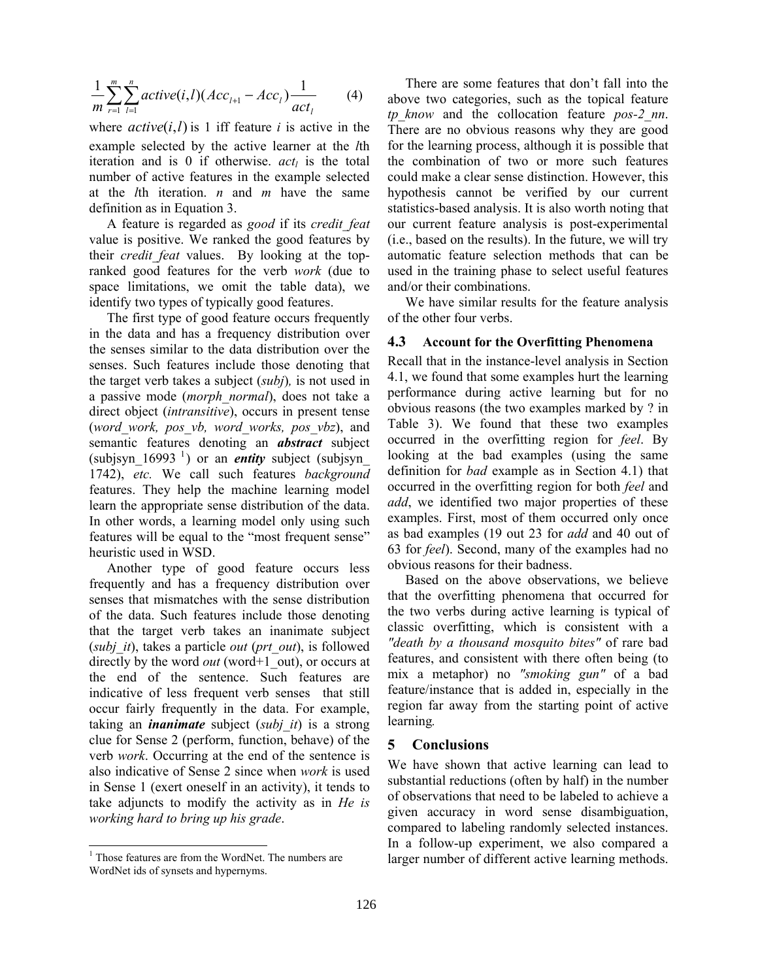$$
\frac{1}{m} \sum_{r=1}^{m} \sum_{l=1}^{n} active(i, l)(Acc_{l+1} - Acc_l) \frac{1}{act_l}
$$
 (4)

where  $active(i, l)$  is 1 iff feature *i* is active in the example selected by the active learner at the *l*th iteration and is 0 if otherwise.  $act<sub>l</sub>$  is the total number of active features in the example selected at the *l*th iteration. *n* and *m* have the same definition as in Equation 3.

A feature is regarded as *good* if its *credit\_feat* value is positive. We ranked the good features by their *credit feat* values. By looking at the topranked good features for the verb *work* (due to space limitations, we omit the table data), we identify two types of typically good features.

The first type of good feature occurs frequently in the data and has a frequency distribution over the senses similar to the data distribution over the senses. Such features include those denoting that the target verb takes a subject (*subj*)*,* is not used in a passive mode (*morph\_normal*), does not take a direct object (*intransitive*), occurs in present tense (*word\_work, pos\_vb, word\_works, pos\_vbz*), and semantic features denoting an *abstract* subject (subjsyn  $16993$ <sup>1</sup>) or an *entity* subject (subjsyn 1742), *etc.* We call such features *background* features. They help the machine learning model learn the appropriate sense distribution of the data. In other words, a learning model only using such features will be equal to the "most frequent sense" heuristic used in WSD.

Another type of good feature occurs less frequently and has a frequency distribution over senses that mismatches with the sense distribution of the data. Such features include those denoting that the target verb takes an inanimate subject (*subj\_it*), takes a particle *out* (*prt\_out*), is followed directly by the word *out* (word+1\_out), or occurs at the end of the sentence. Such features are indicative of less frequent verb senses that still occur fairly frequently in the data. For example, taking an *inanimate* subject (*subj\_it*) is a strong clue for Sense 2 (perform, function, behave) of the verb *work*. Occurring at the end of the sentence is also indicative of Sense 2 since when *work* is used in Sense 1 (exert oneself in an activity), it tends to take adjuncts to modify the activity as in *He is working hard to bring up his grade*.

 $\overline{a}$ 

There are some features that don't fall into the above two categories, such as the topical feature *tp\_know* and the collocation feature *pos-2\_nn*. There are no obvious reasons why they are good for the learning process, although it is possible that the combination of two or more such features could make a clear sense distinction. However, this hypothesis cannot be verified by our current statistics-based analysis. It is also worth noting that our current feature analysis is post-experimental (i.e., based on the results). In the future, we will try automatic feature selection methods that can be used in the training phase to select useful features and/or their combinations.

We have similar results for the feature analysis of the other four verbs.

#### **4.3 Account for the Overfitting Phenomena**

Recall that in the instance-level analysis in Section 4.1, we found that some examples hurt the learning performance during active learning but for no obvious reasons (the two examples marked by ? in Table 3). We found that these two examples occurred in the overfitting region for *feel*. By looking at the bad examples (using the same definition for *bad* example as in Section 4.1) that occurred in the overfitting region for both *feel* and *add*, we identified two major properties of these examples. First, most of them occurred only once as bad examples (19 out 23 for *add* and 40 out of 63 for *feel*). Second, many of the examples had no obvious reasons for their badness.

Based on the above observations, we believe that the overfitting phenomena that occurred for the two verbs during active learning is typical of classic overfitting, which is consistent with a *"death by a thousand mosquito bites"* of rare bad features, and consistent with there often being (to mix a metaphor) no *"smoking gun"* of a bad feature/instance that is added in, especially in the region far away from the starting point of active learning*.*

#### **5 Conclusions**

We have shown that active learning can lead to substantial reductions (often by half) in the number of observations that need to be labeled to achieve a given accuracy in word sense disambiguation, compared to labeling randomly selected instances. In a follow-up experiment, we also compared a larger number of different active learning methods.

<sup>&</sup>lt;sup>1</sup> Those features are from the WordNet. The numbers are WordNet ids of synsets and hypernyms.